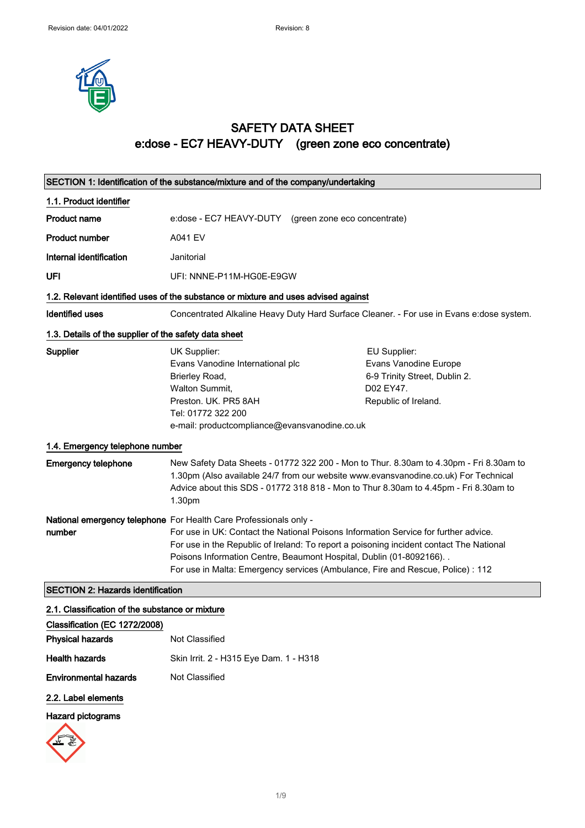

## SAFETY DATA SHEET e:dose - EC7 HEAVY-DUTY (green zone eco concentrate)

| SECTION 1: Identification of the substance/mixture and of the company/undertaking |                                                                                                                                                                                                                               |  |                                                                                                                                                                                                                                                                       |
|-----------------------------------------------------------------------------------|-------------------------------------------------------------------------------------------------------------------------------------------------------------------------------------------------------------------------------|--|-----------------------------------------------------------------------------------------------------------------------------------------------------------------------------------------------------------------------------------------------------------------------|
| 1.1. Product identifier                                                           |                                                                                                                                                                                                                               |  |                                                                                                                                                                                                                                                                       |
| <b>Product name</b>                                                               | e: dose - EC7 HEAVY-DUTY (green zone eco concentrate)                                                                                                                                                                         |  |                                                                                                                                                                                                                                                                       |
| <b>Product number</b>                                                             | <b>A041 EV</b>                                                                                                                                                                                                                |  |                                                                                                                                                                                                                                                                       |
| Internal identification                                                           | Janitorial                                                                                                                                                                                                                    |  |                                                                                                                                                                                                                                                                       |
| UFI                                                                               | UFI: NNNE-P11M-HG0E-E9GW                                                                                                                                                                                                      |  |                                                                                                                                                                                                                                                                       |
|                                                                                   | 1.2. Relevant identified uses of the substance or mixture and uses advised against                                                                                                                                            |  |                                                                                                                                                                                                                                                                       |
| Identified uses                                                                   |                                                                                                                                                                                                                               |  | Concentrated Alkaline Heavy Duty Hard Surface Cleaner. - For use in Evans e: dose system.                                                                                                                                                                             |
| 1.3. Details of the supplier of the safety data sheet                             |                                                                                                                                                                                                                               |  |                                                                                                                                                                                                                                                                       |
| Supplier                                                                          | UK Supplier:<br>Evans Vanodine International plc<br>Brierley Road,<br>Walton Summit,<br>Preston, UK, PR5 8AH<br>Tel: 01772 322 200<br>e-mail: productcompliance@evansvanodine.co.uk                                           |  | EU Supplier:<br>Evans Vanodine Europe<br>6-9 Trinity Street, Dublin 2.<br>D02 EY47.<br>Republic of Ireland.                                                                                                                                                           |
| 1.4. Emergency telephone number                                                   |                                                                                                                                                                                                                               |  |                                                                                                                                                                                                                                                                       |
| <b>Emergency telephone</b>                                                        | 1.30pm                                                                                                                                                                                                                        |  | New Safety Data Sheets - 01772 322 200 - Mon to Thur. 8.30am to 4.30pm - Fri 8.30am to<br>1.30pm (Also available 24/7 from our website www.evansvanodine.co.uk) For Technical<br>Advice about this SDS - 01772 318 818 - Mon to Thur 8.30am to 4.45pm - Fri 8.30am to |
| number                                                                            | National emergency telephone For Health Care Professionals only -<br>Poisons Information Centre, Beaumont Hospital, Dublin (01-8092166). .<br>For use in Malta: Emergency services (Ambulance, Fire and Rescue, Police) : 112 |  | For use in UK: Contact the National Poisons Information Service for further advice.<br>For use in the Republic of Ireland: To report a poisoning incident contact The National                                                                                        |
| <b>SECTION 2: Hazards identification</b>                                          |                                                                                                                                                                                                                               |  |                                                                                                                                                                                                                                                                       |
| 2.1. Classification of the substance or mixture                                   |                                                                                                                                                                                                                               |  |                                                                                                                                                                                                                                                                       |
| Classification (EC 1272/2008)                                                     |                                                                                                                                                                                                                               |  |                                                                                                                                                                                                                                                                       |
| <b>Physical hazards</b>                                                           | Not Classified                                                                                                                                                                                                                |  |                                                                                                                                                                                                                                                                       |
| <b>Health hazards</b>                                                             | Skin Irrit. 2 - H315 Eye Dam. 1 - H318                                                                                                                                                                                        |  |                                                                                                                                                                                                                                                                       |

2.2. Label elements

Environmental hazards Not Classified

#### Hazard pictograms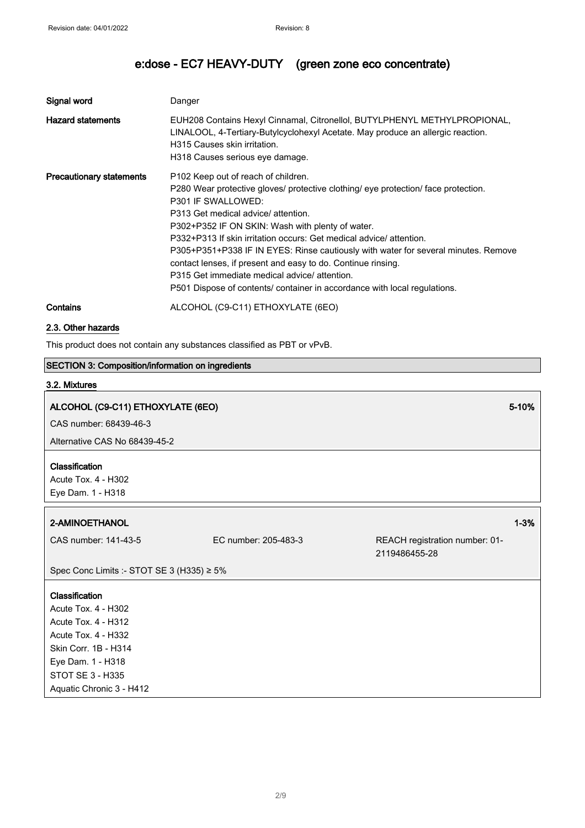| Signal word                     | Danger                                                                                                                                                                                                                                                                                                                                                                                                                                                                                                                                                                                                            |
|---------------------------------|-------------------------------------------------------------------------------------------------------------------------------------------------------------------------------------------------------------------------------------------------------------------------------------------------------------------------------------------------------------------------------------------------------------------------------------------------------------------------------------------------------------------------------------------------------------------------------------------------------------------|
| <b>Hazard statements</b>        | EUH208 Contains Hexyl Cinnamal, Citronellol, BUTYLPHENYL METHYLPROPIONAL,<br>LINALOOL, 4-Tertiary-Butylcyclohexyl Acetate. May produce an allergic reaction.<br>H315 Causes skin irritation.<br>H318 Causes serious eye damage.                                                                                                                                                                                                                                                                                                                                                                                   |
| <b>Precautionary statements</b> | P <sub>102</sub> Keep out of reach of children.<br>P280 Wear protective gloves/ protective clothing/ eye protection/ face protection.<br>P301 IF SWALLOWED:<br>P313 Get medical advice/ attention.<br>P302+P352 IF ON SKIN: Wash with plenty of water.<br>P332+P313 If skin irritation occurs: Get medical advice/ attention.<br>P305+P351+P338 IF IN EYES: Rinse cautiously with water for several minutes. Remove<br>contact lenses, if present and easy to do. Continue rinsing.<br>P315 Get immediate medical advice/ attention.<br>P501 Dispose of contents/ container in accordance with local regulations. |
| Contains                        | ALCOHOL (C9-C11) ETHOXYLATE (6EO)                                                                                                                                                                                                                                                                                                                                                                                                                                                                                                                                                                                 |

2.3. Other hazards

This product does not contain any substances classified as PBT or vPvB.

#### SECTION 3: Composition/information on ingredients

#### 3.2. Mixtures

#### ALCOHOL (C9-C11) ETHOXYLATE (6EO) 5-10% (SECONDENSIDE EXECUTIVE EXECUTIVE EXECUTIVE EXECUTIVE EXECUTIVE EXECUTIVE

CAS number: 68439-46-3

Alternative CAS No 68439-45-2

#### Classification

Acute Tox. 4 - H302 Eye Dam. 1 - H318

#### 2-AMINOETHANOL 1-3%

CAS number: 141-43-5 EC number: 205-483-3 REACH registration number: 01- 2119486455-28

Spec Conc Limits :- STOT SE 3 (H335) ≥ 5%

#### Classification

Acute Tox. 4 - H302 Acute Tox. 4 - H312 Acute Tox. 4 - H332 Skin Corr. 1B - H314 Eye Dam. 1 - H318 STOT SE 3 - H335 Aquatic Chronic 3 - H412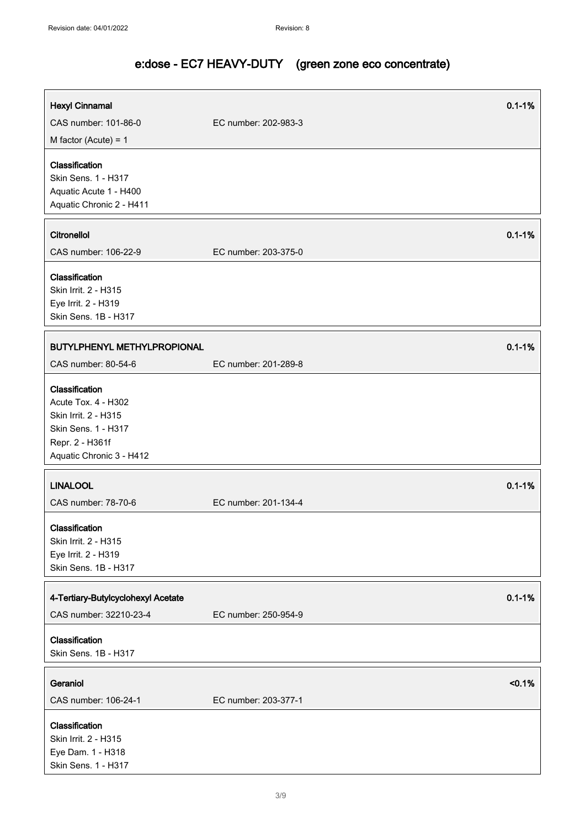| <b>Hexyl Cinnamal</b>                                                                                                               | $0.1 - 1%$           |
|-------------------------------------------------------------------------------------------------------------------------------------|----------------------|
| CAS number: 101-86-0                                                                                                                | EC number: 202-983-3 |
| M factor (Acute) = $1$                                                                                                              |                      |
| Classification<br>Skin Sens. 1 - H317<br>Aquatic Acute 1 - H400<br>Aquatic Chronic 2 - H411                                         |                      |
| Citronellol                                                                                                                         | $0.1 - 1%$           |
| CAS number: 106-22-9                                                                                                                | EC number: 203-375-0 |
| Classification<br>Skin Irrit. 2 - H315<br>Eye Irrit. 2 - H319<br>Skin Sens. 1B - H317                                               |                      |
| <b>BUTYLPHENYL METHYLPROPIONAL</b>                                                                                                  | $0.1 - 1%$           |
| CAS number: 80-54-6                                                                                                                 | EC number: 201-289-8 |
| Classification<br>Acute Tox. 4 - H302<br>Skin Irrit. 2 - H315<br>Skin Sens. 1 - H317<br>Repr. 2 - H361f<br>Aquatic Chronic 3 - H412 |                      |
| <b>LINALOOL</b>                                                                                                                     | $0.1 - 1%$           |
| CAS number: 78-70-6                                                                                                                 | EC number: 201-134-4 |
| Classification<br>Skin Irrit. 2 - H315<br>Eye Irrit. 2 - H319<br>Skin Sens. 1B - H317                                               |                      |
| 4-Tertiary-Butylcyclohexyl Acetate                                                                                                  | $0.1 - 1%$           |
| CAS number: 32210-23-4                                                                                                              | EC number: 250-954-9 |
| Classification<br>Skin Sens. 1B - H317                                                                                              |                      |
| Geraniol                                                                                                                            | < 0.1%               |
| CAS number: 106-24-1                                                                                                                | EC number: 203-377-1 |
| Classification<br>Skin Irrit. 2 - H315<br>Eye Dam. 1 - H318<br>Skin Sens. 1 - H317                                                  |                      |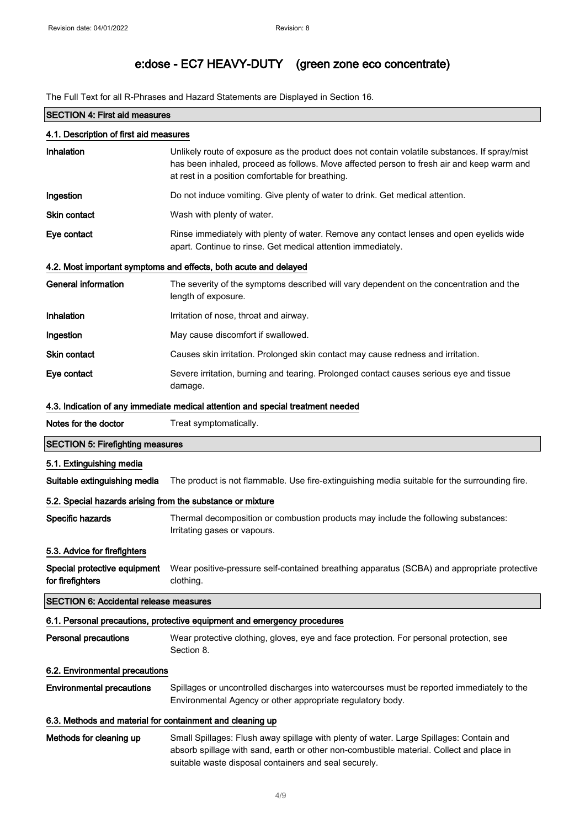The Full Text for all R-Phrases and Hazard Statements are Displayed in Section 16.

|                                                            | <b>SECTION 4: First aid measures</b>                                                                                                                                                                                                           |  |  |
|------------------------------------------------------------|------------------------------------------------------------------------------------------------------------------------------------------------------------------------------------------------------------------------------------------------|--|--|
| 4.1. Description of first aid measures                     |                                                                                                                                                                                                                                                |  |  |
| Inhalation                                                 | Unlikely route of exposure as the product does not contain volatile substances. If spray/mist<br>has been inhaled, proceed as follows. Move affected person to fresh air and keep warm and<br>at rest in a position comfortable for breathing. |  |  |
| Ingestion                                                  | Do not induce vomiting. Give plenty of water to drink. Get medical attention.                                                                                                                                                                  |  |  |
| <b>Skin contact</b>                                        | Wash with plenty of water.                                                                                                                                                                                                                     |  |  |
| Eye contact                                                | Rinse immediately with plenty of water. Remove any contact lenses and open eyelids wide<br>apart. Continue to rinse. Get medical attention immediately.                                                                                        |  |  |
|                                                            | 4.2. Most important symptoms and effects, both acute and delayed                                                                                                                                                                               |  |  |
| <b>General information</b>                                 | The severity of the symptoms described will vary dependent on the concentration and the<br>length of exposure.                                                                                                                                 |  |  |
| Inhalation                                                 | Irritation of nose, throat and airway.                                                                                                                                                                                                         |  |  |
| Ingestion                                                  | May cause discomfort if swallowed.                                                                                                                                                                                                             |  |  |
| <b>Skin contact</b>                                        | Causes skin irritation. Prolonged skin contact may cause redness and irritation.                                                                                                                                                               |  |  |
| Eye contact                                                | Severe irritation, burning and tearing. Prolonged contact causes serious eye and tissue<br>damage.                                                                                                                                             |  |  |
|                                                            | 4.3. Indication of any immediate medical attention and special treatment needed                                                                                                                                                                |  |  |
| Notes for the doctor                                       | Treat symptomatically.                                                                                                                                                                                                                         |  |  |
| <b>SECTION 5: Firefighting measures</b>                    |                                                                                                                                                                                                                                                |  |  |
| 5.1. Extinguishing media                                   |                                                                                                                                                                                                                                                |  |  |
| Suitable extinguishing media                               | The product is not flammable. Use fire-extinguishing media suitable for the surrounding fire.                                                                                                                                                  |  |  |
| 5.2. Special hazards arising from the substance or mixture |                                                                                                                                                                                                                                                |  |  |
| Specific hazards                                           | Thermal decomposition or combustion products may include the following substances:<br>Irritating gases or vapours.                                                                                                                             |  |  |
| 5.3. Advice for firefighters                               |                                                                                                                                                                                                                                                |  |  |
| Special protective equipment<br>for firefighters           | Wear positive-pressure self-contained breathing apparatus (SCBA) and appropriate protective<br>clothing.                                                                                                                                       |  |  |
| <b>SECTION 6: Accidental release measures</b>              |                                                                                                                                                                                                                                                |  |  |
|                                                            | 6.1. Personal precautions, protective equipment and emergency procedures                                                                                                                                                                       |  |  |
| <b>Personal precautions</b>                                | Wear protective clothing, gloves, eye and face protection. For personal protection, see<br>Section 8.                                                                                                                                          |  |  |
| 6.2. Environmental precautions                             |                                                                                                                                                                                                                                                |  |  |
| <b>Environmental precautions</b>                           | Spillages or uncontrolled discharges into watercourses must be reported immediately to the<br>Environmental Agency or other appropriate regulatory body.                                                                                       |  |  |
| 6.3. Methods and material for containment and cleaning up  |                                                                                                                                                                                                                                                |  |  |
| Methods for cleaning up                                    | Small Spillages: Flush away spillage with plenty of water. Large Spillages: Contain and<br>absorb spillage with sand, earth or other non-combustible material. Collect and place in<br>suitable waste disposal containers and seal securely.   |  |  |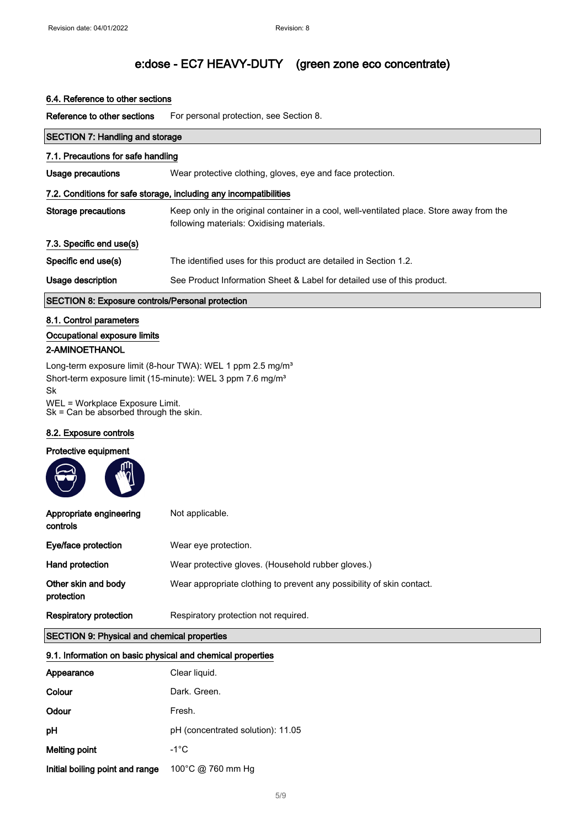#### 6.4. Reference to other sections

Reference to other sections For personal protection, see Section 8.

| <b>SECTION 7: Handling and storage</b>                  |                                                                                                                                        |  |
|---------------------------------------------------------|----------------------------------------------------------------------------------------------------------------------------------------|--|
| 7.1. Precautions for safe handling                      |                                                                                                                                        |  |
| Usage precautions                                       | Wear protective clothing, gloves, eye and face protection.                                                                             |  |
|                                                         | 7.2. Conditions for safe storage, including any incompatibilities                                                                      |  |
| Storage precautions                                     | Keep only in the original container in a cool, well-ventilated place. Store away from the<br>following materials: Oxidising materials. |  |
| 7.3. Specific end use(s)                                |                                                                                                                                        |  |
| Specific end use(s)                                     | The identified uses for this product are detailed in Section 1.2.                                                                      |  |
| Usage description                                       | See Product Information Sheet & Label for detailed use of this product.                                                                |  |
| <b>SECTION 8: Exposure controls/Personal protection</b> |                                                                                                                                        |  |
| 8.1. Control parameters                                 |                                                                                                                                        |  |
| Occupational exposure limits                            |                                                                                                                                        |  |
| 2-AMINOETHANOL                                          |                                                                                                                                        |  |
|                                                         | ▏▏▕▏▏▏▏▏▏▏▏▏▏▏▏▏▏ヿ <sup></sup> ▏▏                                                                                                      |  |

Long-term exposure limit (8-hour TWA): WEL 1 ppm 2.5 mg/m<sup>3</sup> Short-term exposure limit (15-minute): WEL 3 ppm 7.6 mg/m<sup>3</sup> Sk

WEL = Workplace Exposure Limit. Sk = Can be absorbed through the skin.

#### 8.2. Exposure controls

#### Protective equipment

| Appropriate engineering<br>controls | Not applicable.                                                       |
|-------------------------------------|-----------------------------------------------------------------------|
| Eye/face protection                 | Wear eye protection.                                                  |
| Hand protection                     | Wear protective gloves. (Household rubber gloves.)                    |
| Other skin and body<br>protection   | Wear appropriate clothing to prevent any possibility of skin contact. |
| <b>Respiratory protection</b>       | Respiratory protection not required.                                  |

#### SECTION 9: Physical and chemical properties

#### 9.1. Information on basic physical and chemical properties

| Appearance                      | Clear liquid.                     |
|---------------------------------|-----------------------------------|
| Colour                          | Dark, Green.                      |
| Odour                           | Fresh.                            |
| рH                              | pH (concentrated solution): 11.05 |
| Melting point                   | $-1^{\circ}$ C                    |
| Initial boiling point and range | 100°C @ 760 mm Hg                 |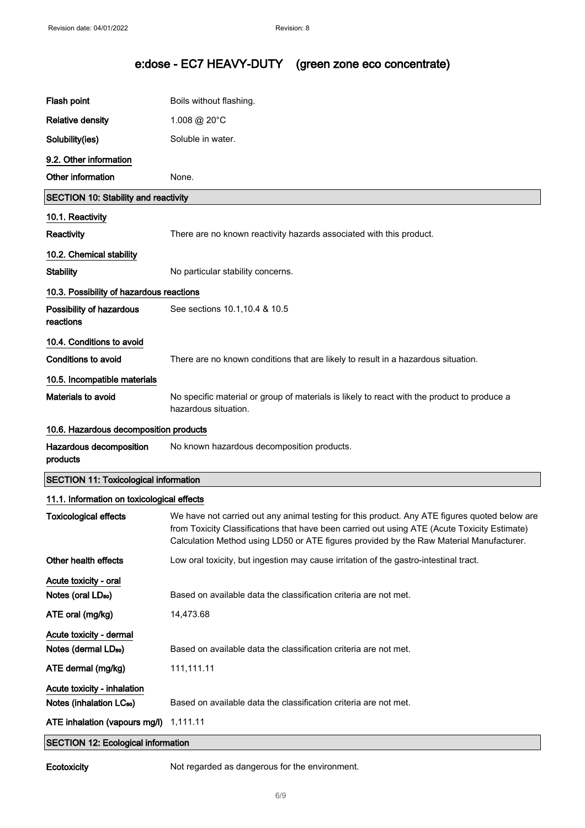| Flash point                                  | Boils without flashing.                                                                                                                                                                                                                                                                  |
|----------------------------------------------|------------------------------------------------------------------------------------------------------------------------------------------------------------------------------------------------------------------------------------------------------------------------------------------|
| <b>Relative density</b>                      | 1.008 @ 20°C                                                                                                                                                                                                                                                                             |
| Solubility(ies)                              | Soluble in water.                                                                                                                                                                                                                                                                        |
| 9.2. Other information                       |                                                                                                                                                                                                                                                                                          |
| Other information                            | None.                                                                                                                                                                                                                                                                                    |
| <b>SECTION 10: Stability and reactivity</b>  |                                                                                                                                                                                                                                                                                          |
| 10.1. Reactivity                             |                                                                                                                                                                                                                                                                                          |
| Reactivity                                   | There are no known reactivity hazards associated with this product.                                                                                                                                                                                                                      |
| 10.2. Chemical stability                     |                                                                                                                                                                                                                                                                                          |
| <b>Stability</b>                             | No particular stability concerns.                                                                                                                                                                                                                                                        |
| 10.3. Possibility of hazardous reactions     |                                                                                                                                                                                                                                                                                          |
| Possibility of hazardous<br>reactions        | See sections 10.1, 10.4 & 10.5                                                                                                                                                                                                                                                           |
| 10.4. Conditions to avoid                    |                                                                                                                                                                                                                                                                                          |
| <b>Conditions to avoid</b>                   | There are no known conditions that are likely to result in a hazardous situation.                                                                                                                                                                                                        |
| 10.5. Incompatible materials                 |                                                                                                                                                                                                                                                                                          |
| <b>Materials to avoid</b>                    | No specific material or group of materials is likely to react with the product to produce a<br>hazardous situation.                                                                                                                                                                      |
| 10.6. Hazardous decomposition products       |                                                                                                                                                                                                                                                                                          |
| Hazardous decomposition<br>products          | No known hazardous decomposition products.                                                                                                                                                                                                                                               |
| <b>SECTION 11: Toxicological information</b> |                                                                                                                                                                                                                                                                                          |
| 11.1. Information on toxicological effects   |                                                                                                                                                                                                                                                                                          |
| <b>Toxicological effects</b>                 | We have not carried out any animal testing for this product. Any ATE figures quoted below are<br>from Toxicity Classifications that have been carried out using ATE (Acute Toxicity Estimate)<br>Calculation Method using LD50 or ATE figures provided by the Raw Material Manufacturer. |
| Other health effects                         | Low oral toxicity, but ingestion may cause irritation of the gastro-intestinal tract.                                                                                                                                                                                                    |
| Acute toxicity - oral                        |                                                                                                                                                                                                                                                                                          |
| Notes (oral LD <sub>50</sub> )               | Based on available data the classification criteria are not met.                                                                                                                                                                                                                         |
| ATE oral (mg/kg)                             | 14,473.68                                                                                                                                                                                                                                                                                |
| Acute toxicity - dermal                      |                                                                                                                                                                                                                                                                                          |
| Notes (dermal LD <sub>50</sub> )             | Based on available data the classification criteria are not met.                                                                                                                                                                                                                         |
| ATE dermal (mg/kg)                           | 111,111.11                                                                                                                                                                                                                                                                               |
| Acute toxicity - inhalation                  |                                                                                                                                                                                                                                                                                          |
| Notes (inhalation LC <sub>50</sub> )         | Based on available data the classification criteria are not met.                                                                                                                                                                                                                         |
| ATE inhalation (vapours mg/l)                | 1,111.11                                                                                                                                                                                                                                                                                 |
| <b>SECTION 12: Ecological information</b>    |                                                                                                                                                                                                                                                                                          |

Ecotoxicity Not regarded as dangerous for the environment.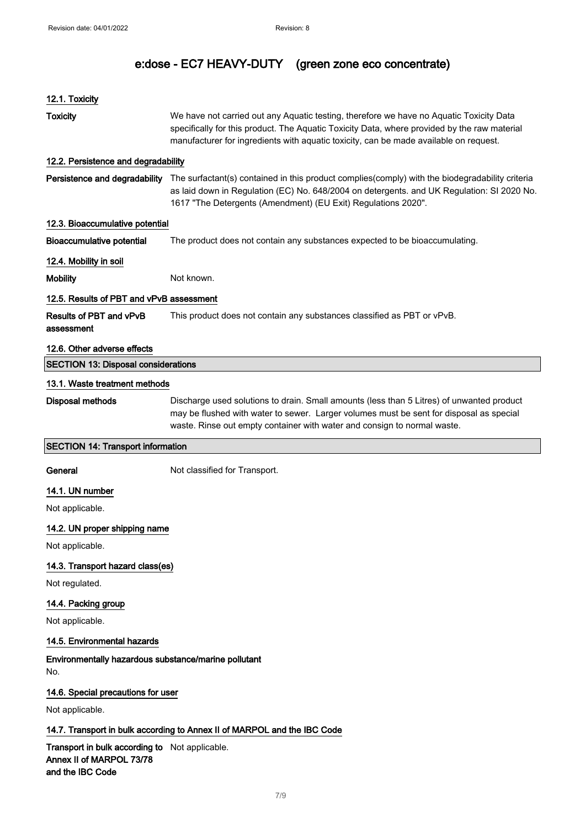| 12.1. Toxicity                                                                                 |                                                                                                                                                                                                                                                                                  |
|------------------------------------------------------------------------------------------------|----------------------------------------------------------------------------------------------------------------------------------------------------------------------------------------------------------------------------------------------------------------------------------|
| <b>Toxicity</b>                                                                                | We have not carried out any Aquatic testing, therefore we have no Aquatic Toxicity Data<br>specifically for this product. The Aquatic Toxicity Data, where provided by the raw material<br>manufacturer for ingredients with aquatic toxicity, can be made available on request. |
| 12.2. Persistence and degradability                                                            |                                                                                                                                                                                                                                                                                  |
| Persistence and degradability                                                                  | The surfactant(s) contained in this product complies(comply) with the biodegradability criteria<br>as laid down in Regulation (EC) No. 648/2004 on detergents. and UK Regulation: SI 2020 No.<br>1617 "The Detergents (Amendment) (EU Exit) Regulations 2020".                   |
| 12.3. Bioaccumulative potential                                                                |                                                                                                                                                                                                                                                                                  |
| <b>Bioaccumulative potential</b>                                                               | The product does not contain any substances expected to be bioaccumulating.                                                                                                                                                                                                      |
| 12.4. Mobility in soil                                                                         |                                                                                                                                                                                                                                                                                  |
| <b>Mobility</b>                                                                                | Not known.                                                                                                                                                                                                                                                                       |
| 12.5. Results of PBT and vPvB assessment                                                       |                                                                                                                                                                                                                                                                                  |
| Results of PBT and vPvB<br>assessment                                                          | This product does not contain any substances classified as PBT or vPvB.                                                                                                                                                                                                          |
| 12.6. Other adverse effects                                                                    |                                                                                                                                                                                                                                                                                  |
| <b>SECTION 13: Disposal considerations</b>                                                     |                                                                                                                                                                                                                                                                                  |
| 13.1. Waste treatment methods                                                                  |                                                                                                                                                                                                                                                                                  |
| Disposal methods                                                                               | Discharge used solutions to drain. Small amounts (less than 5 Litres) of unwanted product<br>may be flushed with water to sewer. Larger volumes must be sent for disposal as special<br>waste. Rinse out empty container with water and consign to normal waste.                 |
| <b>SECTION 14: Transport information</b>                                                       |                                                                                                                                                                                                                                                                                  |
| General                                                                                        | Not classified for Transport.                                                                                                                                                                                                                                                    |
| 14.1. UN number                                                                                |                                                                                                                                                                                                                                                                                  |
| Not applicable.                                                                                |                                                                                                                                                                                                                                                                                  |
| 14.2. UN proper shipping name                                                                  |                                                                                                                                                                                                                                                                                  |
| Not applicable.                                                                                |                                                                                                                                                                                                                                                                                  |
| 14.3. Transport hazard class(es)                                                               |                                                                                                                                                                                                                                                                                  |
| Not regulated.                                                                                 |                                                                                                                                                                                                                                                                                  |
| 14.4. Packing group                                                                            |                                                                                                                                                                                                                                                                                  |
| Not applicable.                                                                                |                                                                                                                                                                                                                                                                                  |
| 14.5. Environmental hazards                                                                    |                                                                                                                                                                                                                                                                                  |
| Environmentally hazardous substance/marine pollutant<br>No.                                    |                                                                                                                                                                                                                                                                                  |
| 14.6. Special precautions for user                                                             |                                                                                                                                                                                                                                                                                  |
| Not applicable.                                                                                |                                                                                                                                                                                                                                                                                  |
|                                                                                                | 14.7. Transport in bulk according to Annex II of MARPOL and the IBC Code                                                                                                                                                                                                         |
| Transport in bulk according to Not applicable.<br>Annex II of MARPOL 73/78<br>and the IBC Code |                                                                                                                                                                                                                                                                                  |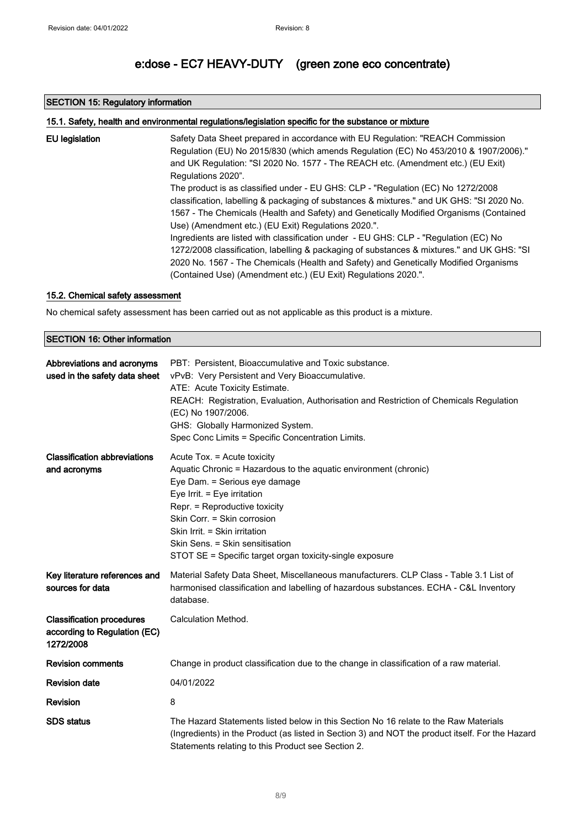#### SECTION 15: Regulatory information

| 15.1. Safety, health and environmental regulations/legislation specific for the substance or mixture |                                                                                            |  |
|------------------------------------------------------------------------------------------------------|--------------------------------------------------------------------------------------------|--|
| EU legislation                                                                                       | Safety Data Sheet prepared in accordance with EU Regulation: "REACH Commission             |  |
|                                                                                                      | Regulation (EU) No 2015/830 (which amends Regulation (EC) No 453/2010 & 1907/2006)."       |  |
|                                                                                                      | and UK Regulation: "SI 2020 No. 1577 - The REACH etc. (Amendment etc.) (EU Exit)           |  |
|                                                                                                      | Regulations 2020".                                                                         |  |
|                                                                                                      | The product is as classified under - EU GHS: CLP - "Regulation (EC) No 1272/2008           |  |
|                                                                                                      | classification, labelling & packaging of substances & mixtures." and UK GHS: "SI 2020 No.  |  |
|                                                                                                      | 1567 - The Chemicals (Health and Safety) and Genetically Modified Organisms (Contained     |  |
|                                                                                                      | Use) (Amendment etc.) (EU Exit) Regulations 2020.".                                        |  |
|                                                                                                      | Ingredients are listed with classification under - EU GHS: CLP - "Regulation (EC) No       |  |
|                                                                                                      | 1272/2008 classification, labelling & packaging of substances & mixtures." and UK GHS: "SI |  |
|                                                                                                      | 2020 No. 1567 - The Chemicals (Health and Safety) and Genetically Modified Organisms       |  |
|                                                                                                      | (Contained Use) (Amendment etc.) (EU Exit) Regulations 2020.".                             |  |

#### 15.2. Chemical safety assessment

No chemical safety assessment has been carried out as not applicable as this product is a mixture.

#### SECTION 16: Other information

| Abbreviations and acronyms<br>used in the safety data sheet                   | PBT: Persistent, Bioaccumulative and Toxic substance.<br>vPvB: Very Persistent and Very Bioaccumulative.<br>ATE: Acute Toxicity Estimate.<br>REACH: Registration, Evaluation, Authorisation and Restriction of Chemicals Regulation<br>(EC) No 1907/2006.<br>GHS: Globally Harmonized System.<br>Spec Conc Limits = Specific Concentration Limits.              |
|-------------------------------------------------------------------------------|-----------------------------------------------------------------------------------------------------------------------------------------------------------------------------------------------------------------------------------------------------------------------------------------------------------------------------------------------------------------|
| <b>Classification abbreviations</b><br>and acronyms                           | Acute Tox. = Acute toxicity<br>Aquatic Chronic = Hazardous to the aquatic environment (chronic)<br>Eye Dam. = Serious eye damage<br>Eye Irrit. = Eye irritation<br>Repr. = Reproductive toxicity<br>Skin Corr. = Skin corrosion<br>Skin Irrit. = Skin irritation<br>Skin Sens. = Skin sensitisation<br>STOT SE = Specific target organ toxicity-single exposure |
| Key literature references and<br>sources for data                             | Material Safety Data Sheet, Miscellaneous manufacturers. CLP Class - Table 3.1 List of<br>harmonised classification and labelling of hazardous substances. ECHA - C&L Inventory<br>database.                                                                                                                                                                    |
| <b>Classification procedures</b><br>according to Regulation (EC)<br>1272/2008 | Calculation Method.                                                                                                                                                                                                                                                                                                                                             |
| <b>Revision comments</b>                                                      | Change in product classification due to the change in classification of a raw material.                                                                                                                                                                                                                                                                         |
| <b>Revision date</b>                                                          | 04/01/2022                                                                                                                                                                                                                                                                                                                                                      |
| <b>Revision</b>                                                               | 8                                                                                                                                                                                                                                                                                                                                                               |
| <b>SDS</b> status                                                             | The Hazard Statements listed below in this Section No 16 relate to the Raw Materials<br>(Ingredients) in the Product (as listed in Section 3) and NOT the product itself. For the Hazard<br>Statements relating to this Product see Section 2.                                                                                                                  |